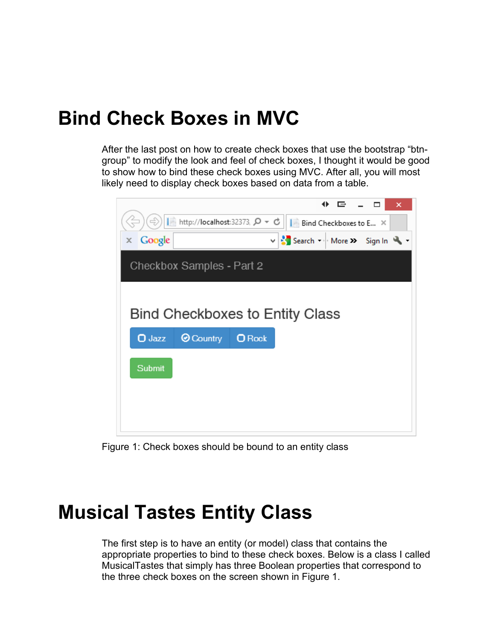#### **Bind Check Boxes in MVC**

After the last post on how to create check boxes that use the bootstrap "btngroup" to modify the look and feel of check boxes, I thought it would be good to show how to bind these check boxes using MVC. After all, you will most likely need to display check boxes based on data from a table.



Figure 1: Check boxes should be bound to an entity class

#### **Musical Tastes Entity Class**

The first step is to have an entity (or model) class that contains the appropriate properties to bind to these check boxes. Below is a class I called MusicalTastes that simply has three Boolean properties that correspond to the three check boxes on the screen shown in Figure 1.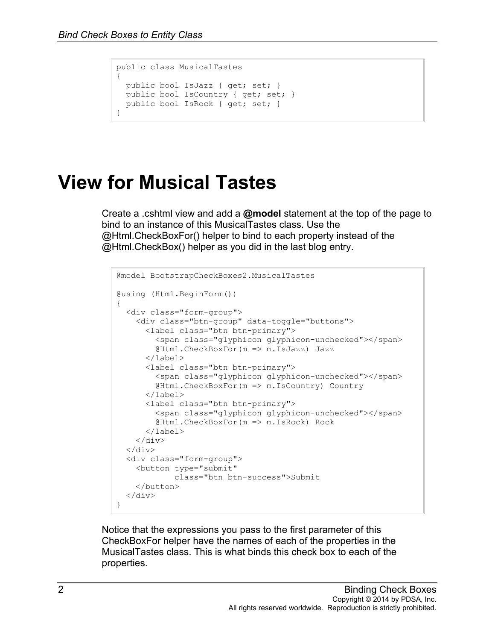```
public class MusicalTastes
{
  public bool IsJazz { get; set; }
 public bool IsCountry { get; set; }
  public bool IsRock { get; set; }
}
```
## **View for Musical Tastes**

Create a .cshtml view and add a **@model** statement at the top of the page to bind to an instance of this MusicalTastes class. Use the @Html.CheckBoxFor() helper to bind to each property instead of the @Html.CheckBox() helper as you did in the last blog entry.

```
@model BootstrapCheckBoxes2.MusicalTastes
@using (Html.BeginForm())
{
   <div class="form-group">
     <div class="btn-group" data-toggle="buttons">
       <label class="btn btn-primary">
         <span class="glyphicon glyphicon-unchecked"></span>
         @Html.CheckBoxFor(m => m.IsJazz) Jazz
       </label>
       <label class="btn btn-primary">
         <span class="glyphicon glyphicon-unchecked"></span>
         @Html.CheckBoxFor(m => m.IsCountry) Country
      \langle/label>
       <label class="btn btn-primary">
         <span class="glyphicon glyphicon-unchecked"></span>
         @Html.CheckBoxFor(m => m.IsRock) Rock
       </label>
    \langle/div\rangle\langle div>
   <div class="form-group">
     <button type="submit" 
             class="btn btn-success">Submit
     </button>
  \langle div>
}
```
Notice that the expressions you pass to the first parameter of this CheckBoxFor helper have the names of each of the properties in the MusicalTastes class. This is what binds this check box to each of the properties.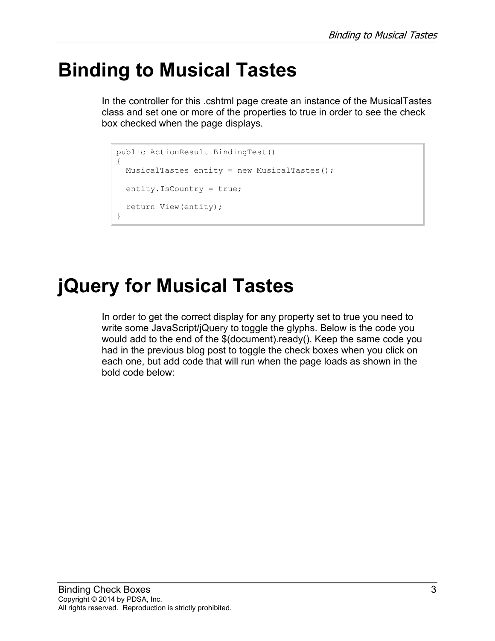## **Binding to Musical Tastes**

In the controller for this .cshtml page create an instance of the MusicalTastes class and set one or more of the properties to true in order to see the check box checked when the page displays.

```
public ActionResult BindingTest()
{
  MusicalTastes entity = new MusicalTastes();
  entity.IsCountry = true;
  return View(entity);
}
```
# **jQuery for Musical Tastes**

In order to get the correct display for any property set to true you need to write some JavaScript/jQuery to toggle the glyphs. Below is the code you would add to the end of the \$(document).ready(). Keep the same code you had in the previous blog post to toggle the check boxes when you click on each one, but add code that will run when the page loads as shown in the bold code below: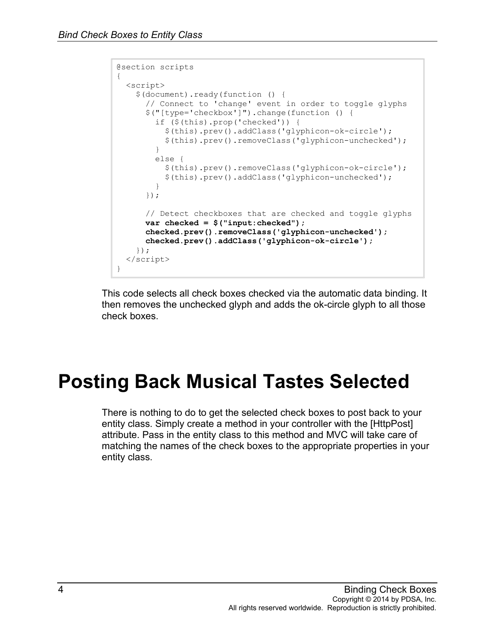```
@section scripts
{
  <script>
    $(document).ready(function () {
       // Connect to 'change' event in order to toggle glyphs
       $("[type='checkbox']").change(function () {
         if ($(this).prop('checked')) {
           $(this).prev().addClass('glyphicon-ok-circle');
           $(this).prev().removeClass('glyphicon-unchecked');
 }
        else {
           $(this).prev().removeClass('glyphicon-ok-circle');
         $(this).prev().addClass('glyphicon-unchecked');
 }
       });
       // Detect checkboxes that are checked and toggle glyphs
       var checked = $("input:checked");
      checked.prev().removeClass('glyphicon-unchecked');
       checked.prev().addClass('glyphicon-ok-circle');
    });
  </script>
}
```
This code selects all check boxes checked via the automatic data binding. It then removes the unchecked glyph and adds the ok-circle glyph to all those check boxes.

## **Posting Back Musical Tastes Selected**

There is nothing to do to get the selected check boxes to post back to your entity class. Simply create a method in your controller with the [HttpPost] attribute. Pass in the entity class to this method and MVC will take care of matching the names of the check boxes to the appropriate properties in your entity class.